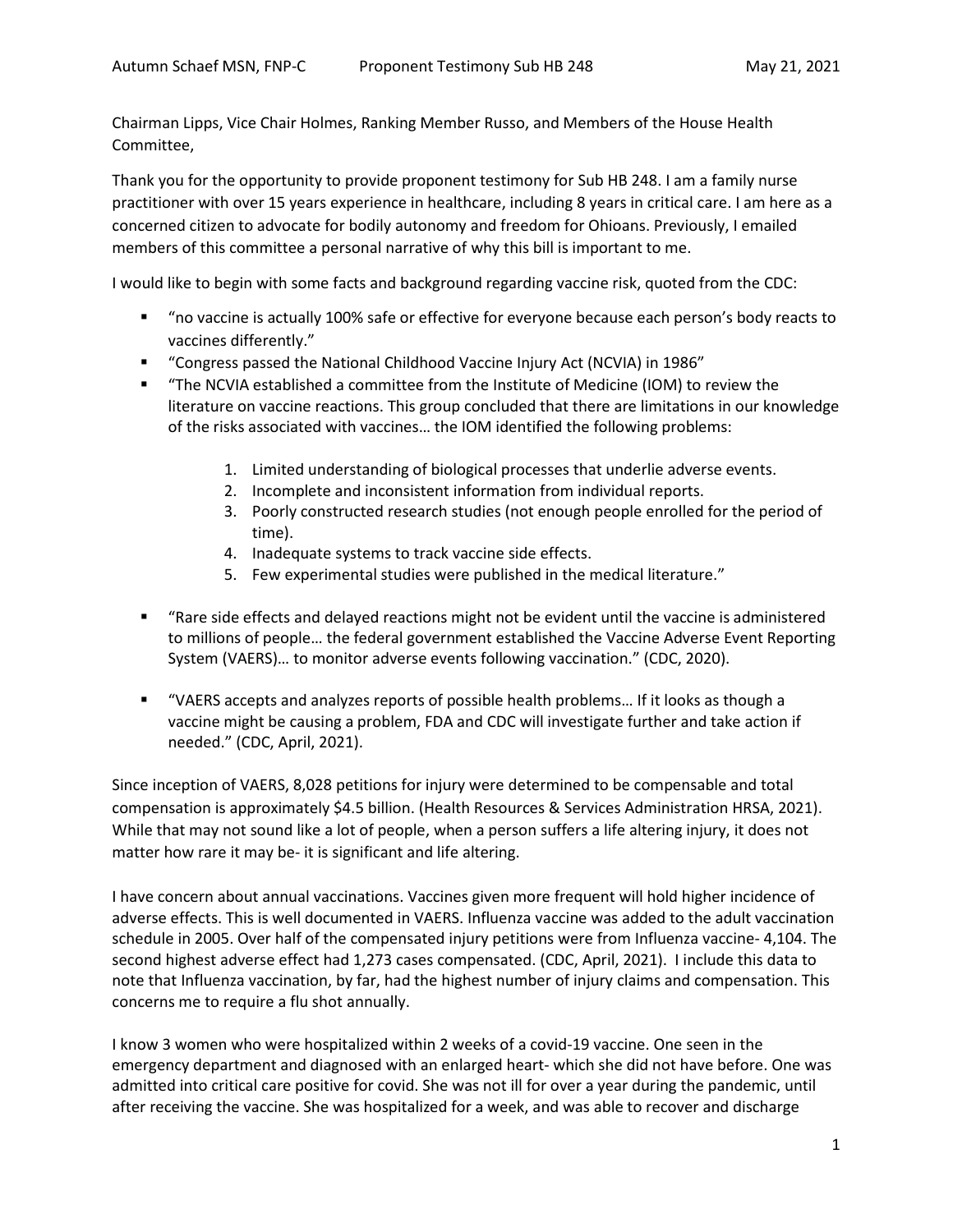Chairman Lipps, Vice Chair Holmes, Ranking Member Russo, and Members of the House Health Committee,

Thank you for the opportunity to provide proponent testimony for Sub HB 248. I am a family nurse practitioner with over 15 years experience in healthcare, including 8 years in critical care. I am here as a concerned citizen to advocate for bodily autonomy and freedom for Ohioans. Previously, I emailed members of this committee a personal narrative of why this bill is important to me.

I would like to begin with some facts and background regarding vaccine risk, quoted from the CDC:

- "no vaccine is actually 100% safe or effective for everyone because each person's body reacts to vaccines differently."
- "Congress passed the National Childhood Vaccine Injury Act (NCVIA) in 1986"
- "The NCVIA established a committee from the Institute of Medicine (IOM) to review the literature on vaccine reactions. This group concluded that there are limitations in our knowledge of the risks associated with vaccines… the IOM identified the following problems:
	- 1. Limited understanding of biological processes that underlie adverse events.
	- 2. Incomplete and inconsistent information from individual reports.
	- 3. Poorly constructed research studies (not enough people enrolled for the period of time).
	- 4. Inadequate systems to track vaccine side effects.
	- 5. Few experimental studies were published in the medical literature."
- "Rare side effects and delayed reactions might not be evident until the vaccine is administered to millions of people… the federal government established the Vaccine Adverse Event Reporting System (VAERS)… to monitor adverse events following vaccination." (CDC, 2020).
- "VAERS accepts and analyzes reports of possible health problems... If it looks as though a vaccine might be causing a problem, FDA and CDC will investigate further and take action if needed." (CDC, April, 2021).

Since inception of VAERS, 8,028 petitions for injury were determined to be compensable and total compensation is approximately \$4.5 billion. (Health Resources & Services Administration HRSA, 2021). While that may not sound like a lot of people, when a person suffers a life altering injury, it does not matter how rare it may be- it is significant and life altering.

I have concern about annual vaccinations. Vaccines given more frequent will hold higher incidence of adverse effects. This is well documented in VAERS. Influenza vaccine was added to the adult vaccination schedule in 2005. Over half of the compensated injury petitions were from Influenza vaccine- 4,104. The second highest adverse effect had 1,273 cases compensated. (CDC, April, 2021). I include this data to note that Influenza vaccination, by far, had the highest number of injury claims and compensation. This concerns me to require a flu shot annually.

I know 3 women who were hospitalized within 2 weeks of a covid-19 vaccine. One seen in the emergency department and diagnosed with an enlarged heart- which she did not have before. One was admitted into critical care positive for covid. She was not ill for over a year during the pandemic, until after receiving the vaccine. She was hospitalized for a week, and was able to recover and discharge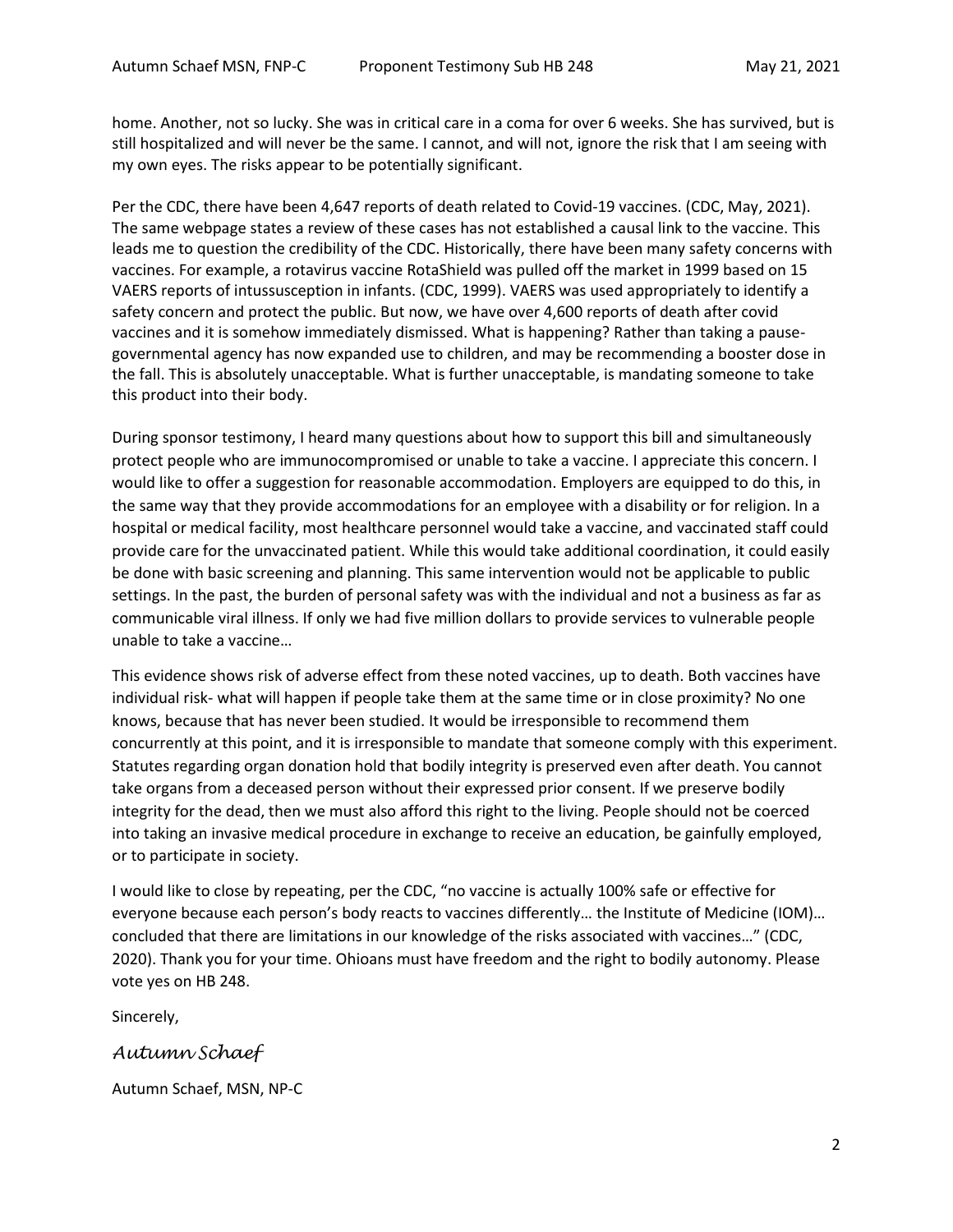home. Another, not so lucky. She was in critical care in a coma for over 6 weeks. She has survived, but is still hospitalized and will never be the same. I cannot, and will not, ignore the risk that I am seeing with my own eyes. The risks appear to be potentially significant.

Per the CDC, there have been 4,647 reports of death related to Covid-19 vaccines. (CDC, May, 2021). The same webpage states a review of these cases has not established a causal link to the vaccine. This leads me to question the credibility of the CDC. Historically, there have been many safety concerns with vaccines. For example, a rotavirus vaccine RotaShield was pulled off the market in 1999 based on 15 VAERS reports of intussusception in infants. (CDC, 1999). VAERS was used appropriately to identify a safety concern and protect the public. But now, we have over 4,600 reports of death after covid vaccines and it is somehow immediately dismissed. What is happening? Rather than taking a pausegovernmental agency has now expanded use to children, and may be recommending a booster dose in the fall. This is absolutely unacceptable. What is further unacceptable, is mandating someone to take this product into their body.

During sponsor testimony, I heard many questions about how to support this bill and simultaneously protect people who are immunocompromised or unable to take a vaccine. I appreciate this concern. I would like to offer a suggestion for reasonable accommodation. Employers are equipped to do this, in the same way that they provide accommodations for an employee with a disability or for religion. In a hospital or medical facility, most healthcare personnel would take a vaccine, and vaccinated staff could provide care for the unvaccinated patient. While this would take additional coordination, it could easily be done with basic screening and planning. This same intervention would not be applicable to public settings. In the past, the burden of personal safety was with the individual and not a business as far as communicable viral illness. If only we had five million dollars to provide services to vulnerable people unable to take a vaccine…

This evidence shows risk of adverse effect from these noted vaccines, up to death. Both vaccines have individual risk- what will happen if people take them at the same time or in close proximity? No one knows, because that has never been studied. It would be irresponsible to recommend them concurrently at this point, and it is irresponsible to mandate that someone comply with this experiment. Statutes regarding organ donation hold that bodily integrity is preserved even after death. You cannot take organs from a deceased person without their expressed prior consent. If we preserve bodily integrity for the dead, then we must also afford this right to the living. People should not be coerced into taking an invasive medical procedure in exchange to receive an education, be gainfully employed, or to participate in society.

I would like to close by repeating, per the CDC, "no vaccine is actually 100% safe or effective for everyone because each person's body reacts to vaccines differently… the Institute of Medicine (IOM)… concluded that there are limitations in our knowledge of the risks associated with vaccines…" (CDC, 2020). Thank you for your time. Ohioans must have freedom and the right to bodily autonomy. Please vote yes on HB 248.

Sincerely,

## *Autumn Schaef*

Autumn Schaef, MSN, NP-C